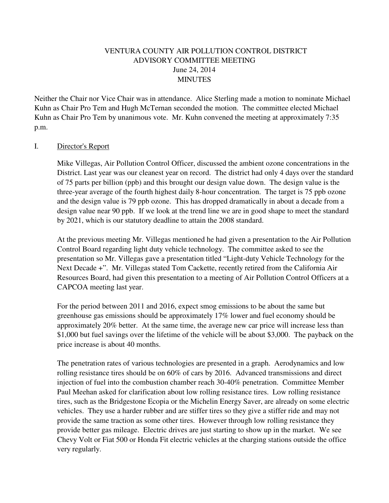# VENTURA COUNTY AIR POLLUTION CONTROL DISTRICT ADVISORY COMMITTEE MEETING June 24, 2014 MINUTES

Neither the Chair nor Vice Chair was in attendance. Alice Sterling made a motion to nominate Michael Kuhn as Chair Pro Tem and Hugh McTernan seconded the motion. The committee elected Michael Kuhn as Chair Pro Tem by unanimous vote. Mr. Kuhn convened the meeting at approximately 7:35 p.m.

### I. Director's Report

Mike Villegas, Air Pollution Control Officer, discussed the ambient ozone concentrations in the District. Last year was our cleanest year on record. The district had only 4 days over the standard of 75 parts per billion (ppb) and this brought our design value down. The design value is the three-year average of the fourth highest daily 8-hour concentration. The target is 75 ppb ozone and the design value is 79 ppb ozone. This has dropped dramatically in about a decade from a design value near 90 ppb. If we look at the trend line we are in good shape to meet the standard by 2021, which is our statutory deadline to attain the 2008 standard.

At the previous meeting Mr. Villegas mentioned he had given a presentation to the Air Pollution Control Board regarding light duty vehicle technology. The committee asked to see the presentation so Mr. Villegas gave a presentation titled "Light-duty Vehicle Technology for the Next Decade +". Mr. Villegas stated Tom Cackette, recently retired from the California Air Resources Board, had given this presentation to a meeting of Air Pollution Control Officers at a CAPCOA meeting last year.

For the period between 2011 and 2016, expect smog emissions to be about the same but greenhouse gas emissions should be approximately 17% lower and fuel economy should be approximately 20% better. At the same time, the average new car price will increase less than \$1,000 but fuel savings over the lifetime of the vehicle will be about \$3,000. The payback on the price increase is about 40 months.

The penetration rates of various technologies are presented in a graph. Aerodynamics and low rolling resistance tires should be on 60% of cars by 2016. Advanced transmissions and direct injection of fuel into the combustion chamber reach 30-40% penetration. Committee Member Paul Meehan asked for clarification about low rolling resistance tires. Low rolling resistance tires, such as the Bridgestone Ecopia or the Michelin Energy Saver, are already on some electric vehicles. They use a harder rubber and are stiffer tires so they give a stiffer ride and may not provide the same traction as some other tires. However through low rolling resistance they provide better gas mileage. Electric drives are just starting to show up in the market. We see Chevy Volt or Fiat 500 or Honda Fit electric vehicles at the charging stations outside the office very regularly.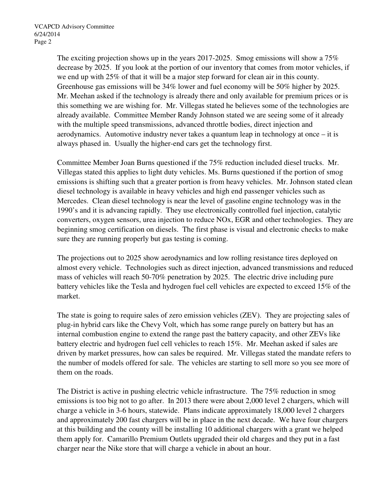The exciting projection shows up in the years 2017-2025. Smog emissions will show a  $75\%$ decrease by 2025. If you look at the portion of our inventory that comes from motor vehicles, if we end up with 25% of that it will be a major step forward for clean air in this county. Greenhouse gas emissions will be 34% lower and fuel economy will be 50% higher by 2025. Mr. Meehan asked if the technology is already there and only available for premium prices or is this something we are wishing for. Mr. Villegas stated he believes some of the technologies are already available. Committee Member Randy Johnson stated we are seeing some of it already with the multiple speed transmissions, advanced throttle bodies, direct injection and aerodynamics. Automotive industry never takes a quantum leap in technology at once – it is always phased in. Usually the higher-end cars get the technology first.

Committee Member Joan Burns questioned if the 75% reduction included diesel trucks. Mr. Villegas stated this applies to light duty vehicles. Ms. Burns questioned if the portion of smog emissions is shifting such that a greater portion is from heavy vehicles. Mr. Johnson stated clean diesel technology is available in heavy vehicles and high end passenger vehicles such as Mercedes. Clean diesel technology is near the level of gasoline engine technology was in the 1990's and it is advancing rapidly. They use electronically controlled fuel injection, catalytic converters, oxygen sensors, urea injection to reduce NOx, EGR and other technologies. They are beginning smog certification on diesels. The first phase is visual and electronic checks to make sure they are running properly but gas testing is coming.

The projections out to 2025 show aerodynamics and low rolling resistance tires deployed on almost every vehicle. Technologies such as direct injection, advanced transmissions and reduced mass of vehicles will reach 50-70% penetration by 2025. The electric drive including pure battery vehicles like the Tesla and hydrogen fuel cell vehicles are expected to exceed 15% of the market.

The state is going to require sales of zero emission vehicles (ZEV). They are projecting sales of plug-in hybrid cars like the Chevy Volt, which has some range purely on battery but has an internal combustion engine to extend the range past the battery capacity, and other ZEVs like battery electric and hydrogen fuel cell vehicles to reach 15%. Mr. Meehan asked if sales are driven by market pressures, how can sales be required. Mr. Villegas stated the mandate refers to the number of models offered for sale. The vehicles are starting to sell more so you see more of them on the roads.

The District is active in pushing electric vehicle infrastructure. The 75% reduction in smog emissions is too big not to go after. In 2013 there were about 2,000 level 2 chargers, which will charge a vehicle in 3-6 hours, statewide. Plans indicate approximately 18,000 level 2 chargers and approximately 200 fast chargers will be in place in the next decade. We have four chargers at this building and the county will be installing 10 additional chargers with a grant we helped them apply for. Camarillo Premium Outlets upgraded their old charges and they put in a fast charger near the Nike store that will charge a vehicle in about an hour.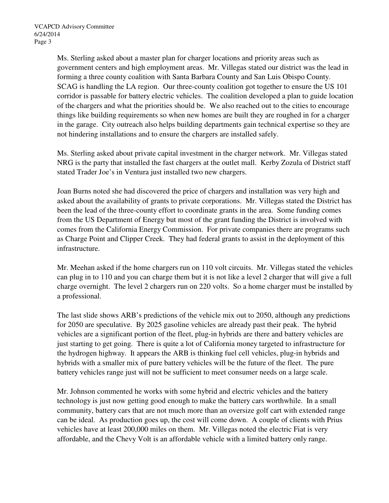Ms. Sterling asked about a master plan for charger locations and priority areas such as government centers and high employment areas. Mr. Villegas stated our district was the lead in forming a three county coalition with Santa Barbara County and San Luis Obispo County. SCAG is handling the LA region. Our three-county coalition got together to ensure the US 101 corridor is passable for battery electric vehicles. The coalition developed a plan to guide location of the chargers and what the priorities should be. We also reached out to the cities to encourage things like building requirements so when new homes are built they are roughed in for a charger in the garage. City outreach also helps building departments gain technical expertise so they are not hindering installations and to ensure the chargers are installed safely.

Ms. Sterling asked about private capital investment in the charger network. Mr. Villegas stated NRG is the party that installed the fast chargers at the outlet mall. Kerby Zozula of District staff stated Trader Joe's in Ventura just installed two new chargers.

Joan Burns noted she had discovered the price of chargers and installation was very high and asked about the availability of grants to private corporations. Mr. Villegas stated the District has been the lead of the three-county effort to coordinate grants in the area. Some funding comes from the US Department of Energy but most of the grant funding the District is involved with comes from the California Energy Commission. For private companies there are programs such as Charge Point and Clipper Creek. They had federal grants to assist in the deployment of this infrastructure.

Mr. Meehan asked if the home chargers run on 110 volt circuits. Mr. Villegas stated the vehicles can plug in to 110 and you can charge them but it is not like a level 2 charger that will give a full charge overnight. The level 2 chargers run on 220 volts. So a home charger must be installed by a professional.

The last slide shows ARB's predictions of the vehicle mix out to 2050, although any predictions for 2050 are speculative. By 2025 gasoline vehicles are already past their peak. The hybrid vehicles are a significant portion of the fleet, plug-in hybrids are there and battery vehicles are just starting to get going. There is quite a lot of California money targeted to infrastructure for the hydrogen highway. It appears the ARB is thinking fuel cell vehicles, plug-in hybrids and hybrids with a smaller mix of pure battery vehicles will be the future of the fleet. The pure battery vehicles range just will not be sufficient to meet consumer needs on a large scale.

Mr. Johnson commented he works with some hybrid and electric vehicles and the battery technology is just now getting good enough to make the battery cars worthwhile. In a small community, battery cars that are not much more than an oversize golf cart with extended range can be ideal. As production goes up, the cost will come down. A couple of clients with Prius vehicles have at least 200,000 miles on them. Mr. Villegas noted the electric Fiat is very affordable, and the Chevy Volt is an affordable vehicle with a limited battery only range.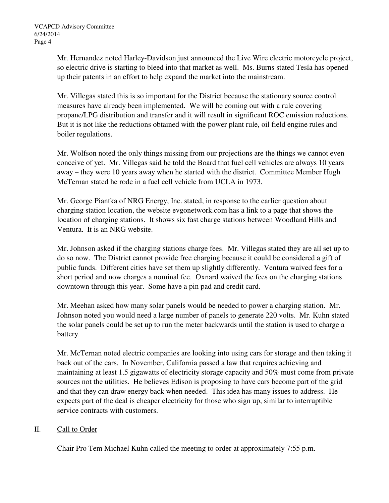Mr. Hernandez noted Harley-Davidson just announced the Live Wire electric motorcycle project, so electric drive is starting to bleed into that market as well. Ms. Burns stated Tesla has opened up their patents in an effort to help expand the market into the mainstream.

Mr. Villegas stated this is so important for the District because the stationary source control measures have already been implemented. We will be coming out with a rule covering propane/LPG distribution and transfer and it will result in significant ROC emission reductions. But it is not like the reductions obtained with the power plant rule, oil field engine rules and boiler regulations.

Mr. Wolfson noted the only things missing from our projections are the things we cannot even conceive of yet. Mr. Villegas said he told the Board that fuel cell vehicles are always 10 years away – they were 10 years away when he started with the district. Committee Member Hugh McTernan stated he rode in a fuel cell vehicle from UCLA in 1973.

Mr. George Piantka of NRG Energy, Inc. stated, in response to the earlier question about charging station location, the website evgonetwork.com has a link to a page that shows the location of charging stations. It shows six fast charge stations between Woodland Hills and Ventura. It is an NRG website.

Mr. Johnson asked if the charging stations charge fees. Mr. Villegas stated they are all set up to do so now. The District cannot provide free charging because it could be considered a gift of public funds. Different cities have set them up slightly differently. Ventura waived fees for a short period and now charges a nominal fee. Oxnard waived the fees on the charging stations downtown through this year. Some have a pin pad and credit card.

Mr. Meehan asked how many solar panels would be needed to power a charging station. Mr. Johnson noted you would need a large number of panels to generate 220 volts. Mr. Kuhn stated the solar panels could be set up to run the meter backwards until the station is used to charge a battery.

Mr. McTernan noted electric companies are looking into using cars for storage and then taking it back out of the cars. In November, California passed a law that requires achieving and maintaining at least 1.5 gigawatts of electricity storage capacity and 50% must come from private sources not the utilities. He believes Edison is proposing to have cars become part of the grid and that they can draw energy back when needed. This idea has many issues to address. He expects part of the deal is cheaper electricity for those who sign up, similar to interruptible service contracts with customers.

# II. Call to Order

Chair Pro Tem Michael Kuhn called the meeting to order at approximately 7:55 p.m.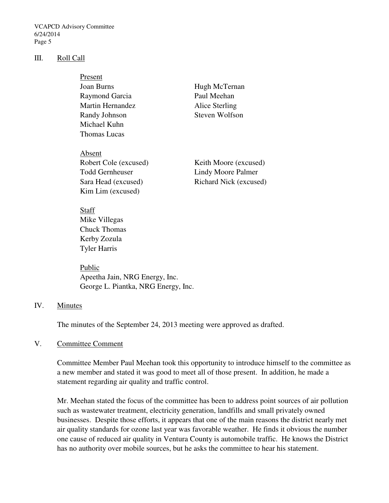VCAPCD Advisory Committee 6/24/2014 Page 5

### III. Roll Call

| Present                 |                       |
|-------------------------|-----------------------|
| Joan Burns              | Hugh McTernan         |
| Raymond Garcia          | Paul Meehan           |
| <b>Martin Hernandez</b> | Alice Sterling        |
| Randy Johnson           | Steven Wolfson        |
| Michael Kuhn            |                       |
| Thomas Lucas            |                       |
| Absent                  |                       |
| Robert Cole (excused)   | Keith Moore (excused) |
|                         |                       |

 Todd Gernheuser Lindy Moore Palmer Kim Lim (excused)

Sara Head (excused) Richard Nick (excused)

# Staff Mike Villegas Chuck Thomas Kerby Zozula Tyler Harris

Public Apeetha Jain, NRG Energy, Inc. George L. Piantka, NRG Energy, Inc.

# IV. Minutes

The minutes of the September 24, 2013 meeting were approved as drafted.

# V. Committee Comment

Committee Member Paul Meehan took this opportunity to introduce himself to the committee as a new member and stated it was good to meet all of those present. In addition, he made a statement regarding air quality and traffic control.

Mr. Meehan stated the focus of the committee has been to address point sources of air pollution such as wastewater treatment, electricity generation, landfills and small privately owned businesses. Despite those efforts, it appears that one of the main reasons the district nearly met air quality standards for ozone last year was favorable weather. He finds it obvious the number one cause of reduced air quality in Ventura County is automobile traffic. He knows the District has no authority over mobile sources, but he asks the committee to hear his statement.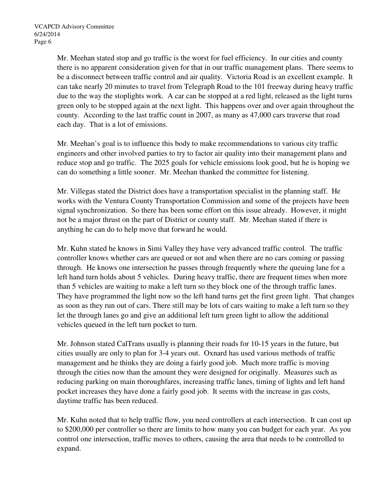Mr. Meehan stated stop and go traffic is the worst for fuel efficiency. In our cities and county there is no apparent consideration given for that in our traffic management plans. There seems to be a disconnect between traffic control and air quality. Victoria Road is an excellent example. It can take nearly 20 minutes to travel from Telegraph Road to the 101 freeway during heavy traffic due to the way the stoplights work. A car can be stopped at a red light, released as the light turns green only to be stopped again at the next light. This happens over and over again throughout the county. According to the last traffic count in 2007, as many as 47,000 cars traverse that road each day. That is a lot of emissions.

Mr. Meehan's goal is to influence this body to make recommendations to various city traffic engineers and other involved parties to try to factor air quality into their management plans and reduce stop and go traffic. The 2025 goals for vehicle emissions look good, but he is hoping we can do something a little sooner. Mr. Meehan thanked the committee for listening.

Mr. Villegas stated the District does have a transportation specialist in the planning staff. He works with the Ventura County Transportation Commission and some of the projects have been signal synchronization. So there has been some effort on this issue already. However, it might not be a major thrust on the part of District or county staff. Mr. Meehan stated if there is anything he can do to help move that forward he would.

Mr. Kuhn stated he knows in Simi Valley they have very advanced traffic control. The traffic controller knows whether cars are queued or not and when there are no cars coming or passing through. He knows one intersection he passes through frequently where the queuing lane for a left hand turn holds about 5 vehicles. During heavy traffic, there are frequent times when more than 5 vehicles are waiting to make a left turn so they block one of the through traffic lanes. They have programmed the light now so the left hand turns get the first green light. That changes as soon as they run out of cars. There still may be lots of cars waiting to make a left turn so they let the through lanes go and give an additional left turn green light to allow the additional vehicles queued in the left turn pocket to turn.

Mr. Johnson stated CalTrans usually is planning their roads for 10-15 years in the future, but cities usually are only to plan for 3-4 years out. Oxnard has used various methods of traffic management and he thinks they are doing a fairly good job. Much more traffic is moving through the cities now than the amount they were designed for originally. Measures such as reducing parking on main thoroughfares, increasing traffic lanes, timing of lights and left hand pocket increases they have done a fairly good job. It seems with the increase in gas costs, daytime traffic has been reduced.

Mr. Kuhn noted that to help traffic flow, you need controllers at each intersection. It can cost up to \$200,000 per controller so there are limits to how many you can budget for each year. As you control one intersection, traffic moves to others, causing the area that needs to be controlled to expand.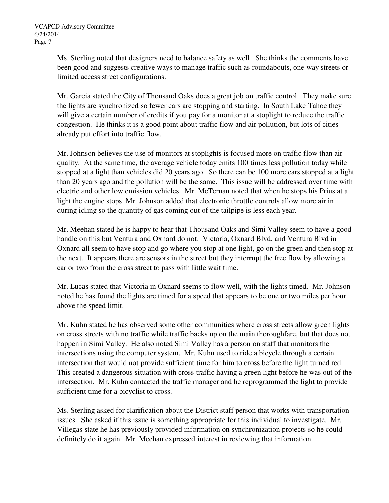Ms. Sterling noted that designers need to balance safety as well. She thinks the comments have been good and suggests creative ways to manage traffic such as roundabouts, one way streets or limited access street configurations.

Mr. Garcia stated the City of Thousand Oaks does a great job on traffic control. They make sure the lights are synchronized so fewer cars are stopping and starting. In South Lake Tahoe they will give a certain number of credits if you pay for a monitor at a stoplight to reduce the traffic congestion. He thinks it is a good point about traffic flow and air pollution, but lots of cities already put effort into traffic flow.

Mr. Johnson believes the use of monitors at stoplights is focused more on traffic flow than air quality. At the same time, the average vehicle today emits 100 times less pollution today while stopped at a light than vehicles did 20 years ago. So there can be 100 more cars stopped at a light than 20 years ago and the pollution will be the same. This issue will be addressed over time with electric and other low emission vehicles. Mr. McTernan noted that when he stops his Prius at a light the engine stops. Mr. Johnson added that electronic throttle controls allow more air in during idling so the quantity of gas coming out of the tailpipe is less each year.

Mr. Meehan stated he is happy to hear that Thousand Oaks and Simi Valley seem to have a good handle on this but Ventura and Oxnard do not. Victoria, Oxnard Blvd. and Ventura Blvd in Oxnard all seem to have stop and go where you stop at one light, go on the green and then stop at the next. It appears there are sensors in the street but they interrupt the free flow by allowing a car or two from the cross street to pass with little wait time.

Mr. Lucas stated that Victoria in Oxnard seems to flow well, with the lights timed. Mr. Johnson noted he has found the lights are timed for a speed that appears to be one or two miles per hour above the speed limit.

Mr. Kuhn stated he has observed some other communities where cross streets allow green lights on cross streets with no traffic while traffic backs up on the main thoroughfare, but that does not happen in Simi Valley. He also noted Simi Valley has a person on staff that monitors the intersections using the computer system. Mr. Kuhn used to ride a bicycle through a certain intersection that would not provide sufficient time for him to cross before the light turned red. This created a dangerous situation with cross traffic having a green light before he was out of the intersection. Mr. Kuhn contacted the traffic manager and he reprogrammed the light to provide sufficient time for a bicyclist to cross.

Ms. Sterling asked for clarification about the District staff person that works with transportation issues. She asked if this issue is something appropriate for this individual to investigate. Mr. Villegas state he has previously provided information on synchronization projects so he could definitely do it again. Mr. Meehan expressed interest in reviewing that information.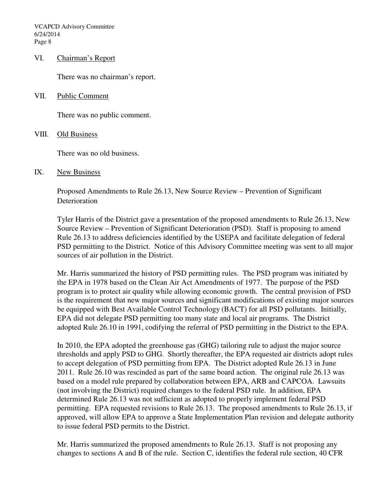VCAPCD Advisory Committee 6/24/2014 Page 8

#### VI. Chairman's Report

There was no chairman's report.

VII. Public Comment

There was no public comment.

### VIII. Old Business

There was no old business.

### IX. New Business

Proposed Amendments to Rule 26.13, New Source Review – Prevention of Significant Deterioration

Tyler Harris of the District gave a presentation of the proposed amendments to Rule 26.13, New Source Review – Prevention of Significant Deterioration (PSD). Staff is proposing to amend Rule 26.13 to address deficiencies identified by the USEPA and facilitate delegation of federal PSD permitting to the District. Notice of this Advisory Committee meeting was sent to all major sources of air pollution in the District.

Mr. Harris summarized the history of PSD permitting rules. The PSD program was initiated by the EPA in 1978 based on the Clean Air Act Amendments of 1977. The purpose of the PSD program is to protect air quality while allowing economic growth. The central provision of PSD is the requirement that new major sources and significant modifications of existing major sources be equipped with Best Available Control Technology (BACT) for all PSD pollutants. Initially, EPA did not delegate PSD permitting too many state and local air programs. The District adopted Rule 26.10 in 1991, codifying the referral of PSD permitting in the District to the EPA.

In 2010, the EPA adopted the greenhouse gas (GHG) tailoring rule to adjust the major source thresholds and apply PSD to GHG. Shortly thereafter, the EPA requested air districts adopt rules to accept delegation of PSD permitting from EPA. The District adopted Rule 26.13 in June 2011. Rule 26.10 was rescinded as part of the same board action. The original rule 26.13 was based on a model rule prepared by collaboration between EPA, ARB and CAPCOA. Lawsuits (not involving the District) required changes to the federal PSD rule. In addition, EPA determined Rule 26.13 was not sufficient as adopted to properly implement federal PSD permitting. EPA requested revisions to Rule 26.13. The proposed amendments to Rule 26.13, if approved, will allow EPA to approve a State Implementation Plan revision and delegate authority to issue federal PSD permits to the District.

Mr. Harris summarized the proposed amendments to Rule 26.13. Staff is not proposing any changes to sections A and B of the rule. Section C, identifies the federal rule section, 40 CFR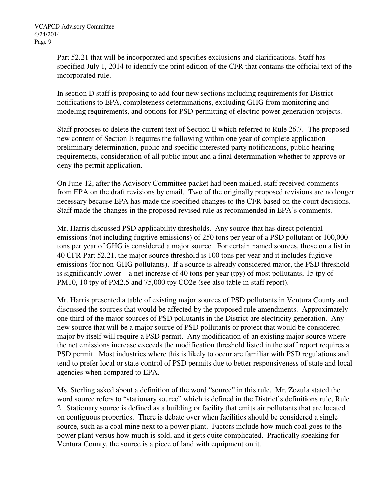Part 52.21 that will be incorporated and specifies exclusions and clarifications. Staff has specified July 1, 2014 to identify the print edition of the CFR that contains the official text of the incorporated rule.

In section D staff is proposing to add four new sections including requirements for District notifications to EPA, completeness determinations, excluding GHG from monitoring and modeling requirements, and options for PSD permitting of electric power generation projects.

Staff proposes to delete the current text of Section E which referred to Rule 26.7. The proposed new content of Section E requires the following within one year of complete application – preliminary determination, public and specific interested party notifications, public hearing requirements, consideration of all public input and a final determination whether to approve or deny the permit application.

On June 12, after the Advisory Committee packet had been mailed, staff received comments from EPA on the draft revisions by email. Two of the originally proposed revisions are no longer necessary because EPA has made the specified changes to the CFR based on the court decisions. Staff made the changes in the proposed revised rule as recommended in EPA's comments.

Mr. Harris discussed PSD applicability thresholds. Any source that has direct potential emissions (not including fugitive emissions) of 250 tons per year of a PSD pollutant or 100,000 tons per year of GHG is considered a major source. For certain named sources, those on a list in 40 CFR Part 52.21, the major source threshold is 100 tons per year and it includes fugitive emissions (for non-GHG pollutants). If a source is already considered major, the PSD threshold is significantly lower – a net increase of 40 tons per year (tpy) of most pollutants, 15 tpy of PM10, 10 tpy of PM2.5 and 75,000 tpy CO2e (see also table in staff report).

Mr. Harris presented a table of existing major sources of PSD pollutants in Ventura County and discussed the sources that would be affected by the proposed rule amendments. Approximately one third of the major sources of PSD pollutants in the District are electricity generation. Any new source that will be a major source of PSD pollutants or project that would be considered major by itself will require a PSD permit. Any modification of an existing major source where the net emissions increase exceeds the modification threshold listed in the staff report requires a PSD permit. Most industries where this is likely to occur are familiar with PSD regulations and tend to prefer local or state control of PSD permits due to better responsiveness of state and local agencies when compared to EPA.

Ms. Sterling asked about a definition of the word "source" in this rule. Mr. Zozula stated the word source refers to "stationary source" which is defined in the District's definitions rule, Rule 2. Stationary source is defined as a building or facility that emits air pollutants that are located on contiguous properties. There is debate over when facilities should be considered a single source, such as a coal mine next to a power plant. Factors include how much coal goes to the power plant versus how much is sold, and it gets quite complicated. Practically speaking for Ventura County, the source is a piece of land with equipment on it.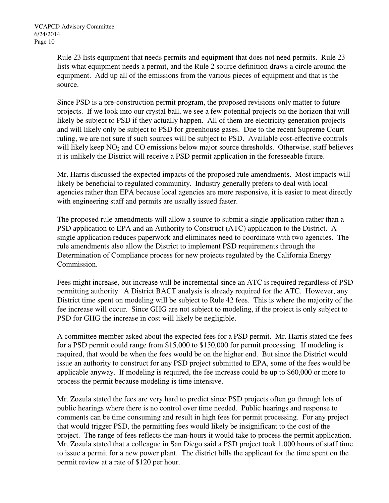Rule 23 lists equipment that needs permits and equipment that does not need permits. Rule 23 lists what equipment needs a permit, and the Rule 2 source definition draws a circle around the equipment. Add up all of the emissions from the various pieces of equipment and that is the source.

Since PSD is a pre-construction permit program, the proposed revisions only matter to future projects. If we look into our crystal ball, we see a few potential projects on the horizon that will likely be subject to PSD if they actually happen. All of them are electricity generation projects and will likely only be subject to PSD for greenhouse gases. Due to the recent Supreme Court ruling, we are not sure if such sources will be subject to PSD. Available cost-effective controls will likely keep  $NO<sub>2</sub>$  and CO emissions below major source thresholds. Otherwise, staff believes it is unlikely the District will receive a PSD permit application in the foreseeable future.

Mr. Harris discussed the expected impacts of the proposed rule amendments. Most impacts will likely be beneficial to regulated community. Industry generally prefers to deal with local agencies rather than EPA because local agencies are more responsive, it is easier to meet directly with engineering staff and permits are usually issued faster.

The proposed rule amendments will allow a source to submit a single application rather than a PSD application to EPA and an Authority to Construct (ATC) application to the District. A single application reduces paperwork and eliminates need to coordinate with two agencies. The rule amendments also allow the District to implement PSD requirements through the Determination of Compliance process for new projects regulated by the California Energy Commission.

Fees might increase, but increase will be incremental since an ATC is required regardless of PSD permitting authority. A District BACT analysis is already required for the ATC. However, any District time spent on modeling will be subject to Rule 42 fees. This is where the majority of the fee increase will occur. Since GHG are not subject to modeling, if the project is only subject to PSD for GHG the increase in cost will likely be negligible.

A committee member asked about the expected fees for a PSD permit. Mr. Harris stated the fees for a PSD permit could range from \$15,000 to \$150,000 for permit processing. If modeling is required, that would be when the fees would be on the higher end. But since the District would issue an authority to construct for any PSD project submitted to EPA, some of the fees would be applicable anyway. If modeling is required, the fee increase could be up to \$60,000 or more to process the permit because modeling is time intensive.

Mr. Zozula stated the fees are very hard to predict since PSD projects often go through lots of public hearings where there is no control over time needed. Public hearings and response to comments can be time consuming and result in high fees for permit processing. For any project that would trigger PSD, the permitting fees would likely be insignificant to the cost of the project. The range of fees reflects the man-hours it would take to process the permit application. Mr. Zozula stated that a colleague in San Diego said a PSD project took 1,000 hours of staff time to issue a permit for a new power plant. The district bills the applicant for the time spent on the permit review at a rate of \$120 per hour.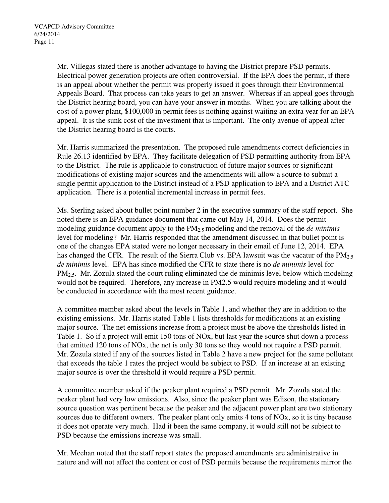Mr. Villegas stated there is another advantage to having the District prepare PSD permits. Electrical power generation projects are often controversial. If the EPA does the permit, if there is an appeal about whether the permit was properly issued it goes through their Environmental Appeals Board. That process can take years to get an answer. Whereas if an appeal goes through the District hearing board, you can have your answer in months. When you are talking about the cost of a power plant, \$100,000 in permit fees is nothing against waiting an extra year for an EPA appeal. It is the sunk cost of the investment that is important. The only avenue of appeal after the District hearing board is the courts.

Mr. Harris summarized the presentation. The proposed rule amendments correct deficiencies in Rule 26.13 identified by EPA. They facilitate delegation of PSD permitting authority from EPA to the District. The rule is applicable to construction of future major sources or significant modifications of existing major sources and the amendments will allow a source to submit a single permit application to the District instead of a PSD application to EPA and a District ATC application. There is a potential incremental increase in permit fees.

Ms. Sterling asked about bullet point number 2 in the executive summary of the staff report. She noted there is an EPA guidance document that came out May 14, 2014. Does the permit modeling guidance document apply to the PM2.5 modeling and the removal of the *de minimis* level for modeling? Mr. Harris responded that the amendment discussed in that bullet point is one of the changes EPA stated were no longer necessary in their email of June 12, 2014. EPA has changed the CFR. The result of the Sierra Club vs. EPA lawsuit was the vacatur of the  $PM<sub>2.5</sub>$ *de minimis* level. EPA has since modified the CFR to state there is no *de minimis* level for  $PM<sub>2.5</sub>$ . Mr. Zozula stated the court ruling eliminated the de minimis level below which modeling would not be required. Therefore, any increase in PM2.5 would require modeling and it would be conducted in accordance with the most recent guidance.

A committee member asked about the levels in Table 1, and whether they are in addition to the existing emissions. Mr. Harris stated Table 1 lists thresholds for modifications at an existing major source. The net emissions increase from a project must be above the thresholds listed in Table 1. So if a project will emit 150 tons of NOx, but last year the source shut down a process that emitted 120 tons of NOx, the net is only 30 tons so they would not require a PSD permit. Mr. Zozula stated if any of the sources listed in Table 2 have a new project for the same pollutant that exceeds the table 1 rates the project would be subject to PSD. If an increase at an existing major source is over the threshold it would require a PSD permit.

A committee member asked if the peaker plant required a PSD permit. Mr. Zozula stated the peaker plant had very low emissions. Also, since the peaker plant was Edison, the stationary source question was pertinent because the peaker and the adjacent power plant are two stationary sources due to different owners. The peaker plant only emits 4 tons of NOx, so it is tiny because it does not operate very much. Had it been the same company, it would still not be subject to PSD because the emissions increase was small.

Mr. Meehan noted that the staff report states the proposed amendments are administrative in nature and will not affect the content or cost of PSD permits because the requirements mirror the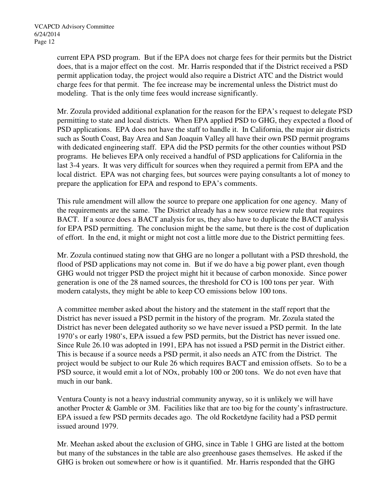current EPA PSD program. But if the EPA does not charge fees for their permits but the District does, that is a major effect on the cost. Mr. Harris responded that if the District received a PSD permit application today, the project would also require a District ATC and the District would charge fees for that permit. The fee increase may be incremental unless the District must do modeling. That is the only time fees would increase significantly.

Mr. Zozula provided additional explanation for the reason for the EPA's request to delegate PSD permitting to state and local districts. When EPA applied PSD to GHG, they expected a flood of PSD applications. EPA does not have the staff to handle it. In California, the major air districts such as South Coast, Bay Area and San Joaquin Valley all have their own PSD permit programs with dedicated engineering staff. EPA did the PSD permits for the other counties without PSD programs. He believes EPA only received a handful of PSD applications for California in the last 3-4 years. It was very difficult for sources when they required a permit from EPA and the local district. EPA was not charging fees, but sources were paying consultants a lot of money to prepare the application for EPA and respond to EPA's comments.

This rule amendment will allow the source to prepare one application for one agency. Many of the requirements are the same. The District already has a new source review rule that requires BACT. If a source does a BACT analysis for us, they also have to duplicate the BACT analysis for EPA PSD permitting. The conclusion might be the same, but there is the cost of duplication of effort. In the end, it might or might not cost a little more due to the District permitting fees.

Mr. Zozula continued stating now that GHG are no longer a pollutant with a PSD threshold, the flood of PSD applications may not come in. But if we do have a big power plant, even though GHG would not trigger PSD the project might hit it because of carbon monoxide. Since power generation is one of the 28 named sources, the threshold for CO is 100 tons per year. With modern catalysts, they might be able to keep CO emissions below 100 tons.

A committee member asked about the history and the statement in the staff report that the District has never issued a PSD permit in the history of the program. Mr. Zozula stated the District has never been delegated authority so we have never issued a PSD permit. In the late 1970's or early 1980's, EPA issued a few PSD permits, but the District has never issued one. Since Rule 26.10 was adopted in 1991, EPA has not issued a PSD permit in the District either. This is because if a source needs a PSD permit, it also needs an ATC from the District. The project would be subject to our Rule 26 which requires BACT and emission offsets. So to be a PSD source, it would emit a lot of NOx, probably 100 or 200 tons. We do not even have that much in our bank.

Ventura County is not a heavy industrial community anyway, so it is unlikely we will have another Procter & Gamble or 3M. Facilities like that are too big for the county's infrastructure. EPA issued a few PSD permits decades ago. The old Rocketdyne facility had a PSD permit issued around 1979.

Mr. Meehan asked about the exclusion of GHG, since in Table 1 GHG are listed at the bottom but many of the substances in the table are also greenhouse gases themselves. He asked if the GHG is broken out somewhere or how is it quantified. Mr. Harris responded that the GHG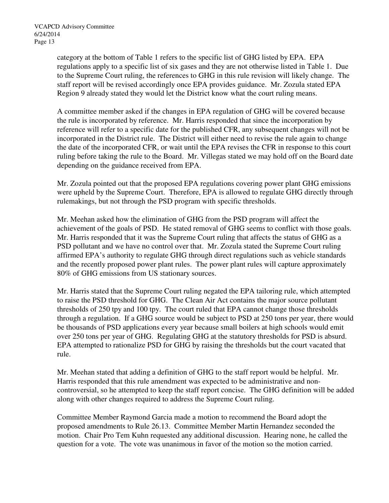category at the bottom of Table 1 refers to the specific list of GHG listed by EPA. EPA regulations apply to a specific list of six gases and they are not otherwise listed in Table 1. Due to the Supreme Court ruling, the references to GHG in this rule revision will likely change. The staff report will be revised accordingly once EPA provides guidance. Mr. Zozula stated EPA Region 9 already stated they would let the District know what the court ruling means.

A committee member asked if the changes in EPA regulation of GHG will be covered because the rule is incorporated by reference. Mr. Harris responded that since the incorporation by reference will refer to a specific date for the published CFR, any subsequent changes will not be incorporated in the District rule. The District will either need to revise the rule again to change the date of the incorporated CFR, or wait until the EPA revises the CFR in response to this court ruling before taking the rule to the Board. Mr. Villegas stated we may hold off on the Board date depending on the guidance received from EPA.

Mr. Zozula pointed out that the proposed EPA regulations covering power plant GHG emissions were upheld by the Supreme Court. Therefore, EPA is allowed to regulate GHG directly through rulemakings, but not through the PSD program with specific thresholds.

Mr. Meehan asked how the elimination of GHG from the PSD program will affect the achievement of the goals of PSD. He stated removal of GHG seems to conflict with those goals. Mr. Harris responded that it was the Supreme Court ruling that affects the status of GHG as a PSD pollutant and we have no control over that. Mr. Zozula stated the Supreme Court ruling affirmed EPA's authority to regulate GHG through direct regulations such as vehicle standards and the recently proposed power plant rules. The power plant rules will capture approximately 80% of GHG emissions from US stationary sources.

Mr. Harris stated that the Supreme Court ruling negated the EPA tailoring rule, which attempted to raise the PSD threshold for GHG. The Clean Air Act contains the major source pollutant thresholds of 250 tpy and 100 tpy. The court ruled that EPA cannot change those thresholds through a regulation. If a GHG source would be subject to PSD at 250 tons per year, there would be thousands of PSD applications every year because small boilers at high schools would emit over 250 tons per year of GHG. Regulating GHG at the statutory thresholds for PSD is absurd. EPA attempted to rationalize PSD for GHG by raising the thresholds but the court vacated that rule.

Mr. Meehan stated that adding a definition of GHG to the staff report would be helpful. Mr. Harris responded that this rule amendment was expected to be administrative and noncontroversial, so he attempted to keep the staff report concise. The GHG definition will be added along with other changes required to address the Supreme Court ruling.

Committee Member Raymond Garcia made a motion to recommend the Board adopt the proposed amendments to Rule 26.13. Committee Member Martin Hernandez seconded the motion. Chair Pro Tem Kuhn requested any additional discussion. Hearing none, he called the question for a vote. The vote was unanimous in favor of the motion so the motion carried.